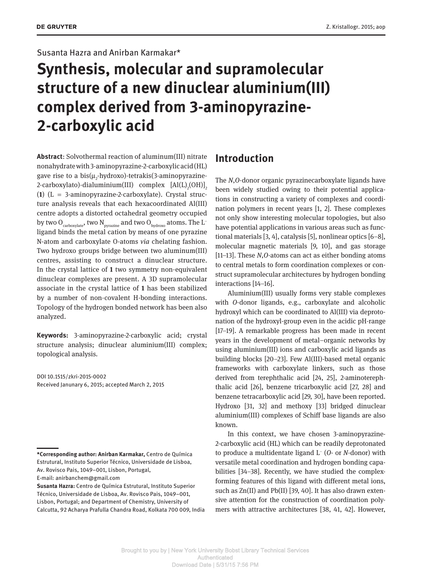#### Susanta Hazra and Anirban Karmakar\*

# **Synthesis, molecular and supramolecular structure of a new dinuclear aluminium(III) complex derived from 3-aminopyrazine-2-carboxylic acid**

**Abstract:** Solvothermal reaction of aluminum(III) nitrate nonahydrate with 3-aminopyrazine-2-carboxylic acid (HL) gave rise to a bis( $\mu_{_2}$ -hydroxo)-tetrakis(3-aminopyrazine-2-carboxylato)-dialuminium(III) complex  $[AI(L)_{2}(OH)]_{2}$ (1)  $(L = 3$ -aminopyrazine-2-carboxylate). Crystal structure analysis reveals that each hexacoordinated Al(III) centre adopts a distorted octahedral geometry occupied by two  $O_{\text{carboxylate}}$ , two  $N_{\text{pyrazine}}$  and two  $O_{\text{hydroxo}}$  atoms. The L<sup>-</sup> ligand binds the metal cation by means of one pyrazine N-atom and carboxylate O-atoms *via* chelating fashion. Two hydroxo groups bridge between two aluminum(III) centres, assisting to construct a dinuclear structure. In the crystal lattice of **1** two symmetry non-equivalent dinuclear complexes are present. A 3D supramolecular associate in the crystal lattice of **1** has been stabilized by a number of non-covalent H-bonding interactions. Topology of the hydrogen bonded network has been also analyzed.

**Keywords:** 3-aminopyrazine-2-carboxylic acid; crystal structure analysis; dinuclear aluminium(III) complex; topological analysis.

 DOI 10.1515/zkri-2015-0002 Received Janunary 6, 2015; accepted March 2, 2015

## **Introduction**

The *N*, *O*-donor organic pyrazinecarboxylate ligands have been widely studied owing to their potential applications in constructing a variety of complexes and coordination polymers in recent years [1, 2]. These complexes not only show interesting molecular topologies, but also have potential applications in various areas such as functional materials  $[3, 4]$ , catalysis  $[5]$ , nonlinear optics  $[6-8]$ , molecular magnetic materials [9, 10], and gas storage [11–13]. These *N*, *O*-atoms can act as either bonding atoms to central metals to form coordination complexes or construct supramolecular architectures by hydrogen bonding interactions  $[14-16]$ .

 Aluminium(III) usually forms very stable complexes with *O*-donor ligands, e.g., carboxylate and alcoholic hydroxyl which can be coordinated to Al(III) via deprotonation of the hydroxyl-group even in the acidic pH-range [17-19]. A remarkable progress has been made in recent years in the development of metal – organic networks by using aluminium(III) ions and carboxylic acid ligands as building blocks  $[20-23]$ . Few Al(III)-based metal organic frameworks with carboxylate linkers, such as those derived from terephthalic acid [24, 25], 2-aminoterephthalic acid [26], benzene tricarboxylic acid [27, 28] and benzene tetracarboxylic acid [29, 30], have been reported. Hydroxo [31, 32] and methoxy [33] bridged dinuclear aluminium(III) complexes of Schiff base ligands are also known.

 In this context, we have chosen 3-aminopyrazine-2-carboxylic acid (HL) which can be readily deprotonated to produce a multidentate ligand L<sup>-</sup> (O- or N-donor) with versatile metal coordination and hydrogen bonding capabilities [34-38]. Recently, we have studied the complexforming features of this ligand with different metal ions, such as Zn(II) and Pb(II) [39, 40]. It has also drawn extensive attention for the construction of coordination polymers with attractive architectures [38, 41, 42]. However,

<sup>\*</sup>Corresponding author: Anirban Karmakar, Centro de Química Estrutural, Instituto Superior Técnico, Universidade de Lisboa, Av. Rovisco Pais, 1049 – 001, Lisbon, Portugal,

E-mail: anirbanchem@gmail.com

**Susanta Hazra:** Centro de Química Estrutural, Instituto Superior Técnico, Universidade de Lisboa, Av. Rovisco Pais, 1049-001, Lisbon, Portugal; and Department of Chemistry, University of Calcutta, 92 Acharya Prafulla Chandra Road, Kolkata 700 009, India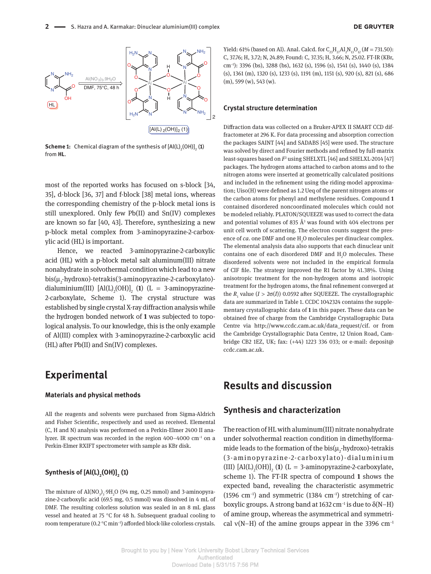

**Scheme 1:** Chemical diagram of the synthesis of  ${[Al(L)_2(OH)]}_2$  (**1**) from **HL**.

most of the reported works has focused on s-block [34, 35], d-block [36, 37] and f-block [38] metal ions, whereas the corresponding chemistry of the p-block metal ions is still unexplored. Only few Pb(II) and Sn(IV) complexes are known so far [40, 43]. Therefore, synthesizing a new p-block metal complex from 3-aminopyrazine-2-carboxylic acid (HL) is important.

 Hence, we reacted 3-aminopyrazine-2-carboxylic acid (HL) with a p-block metal salt aluminum(III) nitrate nonahydrate in solvothermal condition which lead to a new bis(µ<sub>2</sub>-hydroxo)-tetrakis(3-aminopyrazine-2-carboxylato)dialuminium(III)  $[AI(L)_{2}(OH)]_{2}$  (1)  $(L = 3$ -aminopyrazine-2-carboxylate, Scheme 1). The crystal structure was established by single crystal X-ray diffraction analysis while the hydrogen bonded network of **1** was subjected to topological analysis. To our knowledge, this is the only example of Al(III) complex with 3-aminopyrazine-2-carboxylic acid (HL) after Pb(II) and Sn(IV) complexes.

# **Experimental**

#### **Materials and physical methods**

 All the reagents and solvents were purchased from Sigma-Aldrich and Fisher Scientific, respectively and used as received. Elemental (C, H and N) analysis was performed on a Perkin-Elmer 2400 II analyzer. IR spectrum was recorded in the region  $400-4000$  cm<sup>-1</sup> on a Perkin-Elmer RXIFT spectrometer with sample as KBr disk.

#### **Synthesis of[Al(L) <sup>2</sup> (OH)] <sup>2</sup> ( 1 )**

The mixture of  $\text{Al}(\text{NO}_3)_3\text{·}9\text{H}_2\text{O}$  (94 mg, 0.25 mmol) and 3-aminopyrazine-2-carboxylic acid (69.5 mg, 0.5 mmol) was dissolved in 4 mL of DMF. The resulting colorless solution was sealed in an 8 mL glass vessel and heated at 75 °C for 48 h. Subsequent gradual cooling to room temperature (0.2  $\rm{°C}$  min<sup>-1</sup>) afforded block-like colorless crystals.

Yield: 61% (based on Al). Anal. Calcd. for  $C_{23}H_{27}Al_2N_{13}O_{12} (M = 731.50)$ : C, 37.76; H, 3.72; N, 24.89; Found: C, 37.35; H, 3.66; N, 25.02. FT-IR (KBr, cm<sup>-1</sup>): 3396 (bs), 3288 (bs), 1632 (s), 1596 (s), 1541 (s), 1440 (s), 1384 (s), 1361 (m), 1320 (s), 1233 (s), 1191 (m), 1151 (s), 920 (s), 821 (s), 686 (m), 599 (w), 543 (w).

#### **Crystal structure determination**

Diffraction data was collected on a Bruker-APEX II SMART CCD diffractometer at 296 K. For data processing and absorption correction the packages SAINT [44] and SADABS [45] were used. The structure was solved by direct and Fourier methods and refined by full-matrix least-squares based on  $F^2$  using SHELXTL [46] and SHELXL-2014 [47] packages. The hydrogen atoms attached to carbon atoms and to the nitrogen atoms were inserted at geometrically calculated positions and included in the refinement using the riding-model approximation;  $Uiso(H)$  were defined as 1.2 Ueq of the parent nitrogen atoms or the carbon atoms for phenyl and methylene residues. Compound **1** contained disordered noncoordinated molecules which could not be modeled reliably. PLATON/SQUEEZE was used to correct the data and potential volumes of 835  $\AA$ <sup>3</sup> was found with 404 electrons per unit cell worth of scattering. The electron counts suggest the presence of *ca*. one DMF and one H<sub>2</sub>O molecules per dinuclear complex. The elemental analysis data also supports that each dinuclear unit contains one of each disordered DMF and  $H_2O$  molecules. These disordered solvents were not included in the empirical formula of CIF file. The strategy improved the R1 factor by  $41.38\%$ . Using anisotropic treatment for the non-hydrogen atoms and isotropic treatment for the hydrogen atoms, the final refinement converged at the  $R_1$  value ( $I > 2\sigma(I)$ ) 0.0592 after SQUEEZE. The crystallographic data are summarized in Table 1. CCDC 1042324 contains the supplementary crystallographic data of **1** in this paper. These data can be obtained free of charge from the Cambridge Crystallographic Data Centre via http://www.ccdc.cam.ac.uk/data\_request/cif. or from the Cambridge Crystallographic Data Centre, 12 Union Road, Cambridge CB2 1EZ, UK; fax: (+44) 1223 336 033; or e-mail: deposit@ ccdc.cam.ac.uk.

### **Results and discussion**

#### **Synthesis and characterization**

 The reaction of HL with aluminum(III) nitrate nonahydrate under solvothermal reaction condition in dimethylformamide leads to the formation of the  $\mathrm{bis}(\mu_{2}\text{-}hydroxo)\text{-}tetrakis$ (3-aminopyrazine-2-carboxylato)-dialuminium (III)  $[AI(L)_{2}(OH)]_{2}$  (1) (L = 3-aminopyrazine-2-carboxylate, scheme 1). The FT-IR spectra of compound **1** shows the expected band, revealing the characteristic asymmetric (1596 cm<sup>-1</sup>) and symmetric (1384 cm<sup>-1</sup>) stretching of carboxylic groups. A strong band at  $1632 \text{ cm}^{-1}$  is due to  $\delta(N-H)$ of amine group, whereas the asymmetrical and symmetrical  $v(N-H)$  of the amine groups appear in the 3396 cm<sup>-1</sup>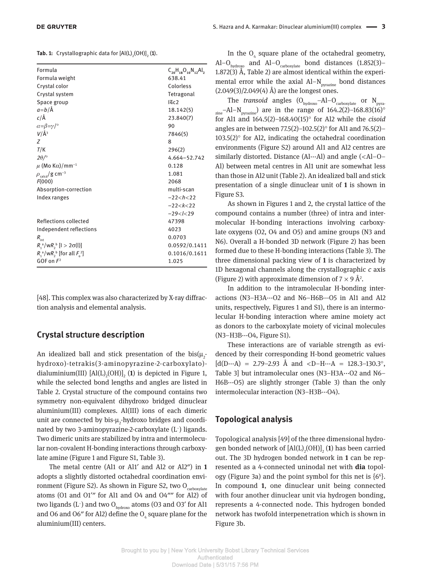**Tab. 1:** Crystallographic data for  $[Al(L)_{2}(OH)]_{2}$  (**1**).

| Formula<br>Formula weight                            | $C_{20}H_{18}O_{10}N_{12}Al_2$<br>638.41 |
|------------------------------------------------------|------------------------------------------|
| Crystal color                                        | Colorless                                |
| Crystal system                                       | Tetragonal                               |
| Space group                                          | I4c2                                     |
| $a = b/\text{\AA}$                                   | 18.142(5)                                |
| $c/\text{\AA}$                                       | 23.840(7)                                |
| $\alpha = \beta = \gamma / \gamma$                   | 90                                       |
| $V/\AA$ <sup>3</sup>                                 | 7846(5)                                  |
| Ζ                                                    | 8                                        |
| T/K                                                  | 296(2)                                   |
| $2\theta$ / $\circ$                                  | 4.664-52.742                             |
| $\mu$ (Mo K $\alpha$ )/mm <sup>-1</sup>              | 0.128                                    |
| $\rho_{\rm{calcd}}$ /g cm <sup>-3</sup>              | 1.081                                    |
| F(000)                                               | 2068                                     |
| Absorption-correction                                | multi-scan                               |
| Index ranges                                         | $-22 < h < 22$                           |
|                                                      | $-22 < k < 22$                           |
|                                                      | $-29 < l < 29$                           |
| Reflections collected                                | 47398                                    |
| Independent reflections                              | 4023                                     |
| $R_{\rm int}$                                        | 0.0703                                   |
| $R_1^a/wR_2^b$ [l > 2 $\sigma$ (l)]                  | 0.0592/0.1411                            |
| $R_1^{\ a}/\text{W}R_2^{\ b}$ [for all $F_2^{\ 2}$ ] | 0.1016/0.1611                            |
| GOF on $F2$                                          | 1.025                                    |
|                                                      |                                          |

[48]. This complex was also characterized by X-ray diffraction analysis and elemental analysis.

### **Crystal structure description**

An idealized ball and stick presentation of the  $bis(\mu_{2}^{-})$ hydroxo)-tetrakis(3-aminopyrazine-2-carboxylato) dialuminium(III)  $[AI(L)_{2}(OH)]_{2}$  (1) is depicted in Figure 1, while the selected bond lengths and angles are listed in Table 2. Crystal structure of the compound contains two symmetry non-equivalent dihydroxo bridged dinuclear aluminium(III) complexes. Al(III) ions of each dimeric unit are connected by bis- $\mu_2$ -hydroxo bridges and coordinated by two 3-aminopyrazine-2-carboxylate  $(L^-)$  ligands. Two dimeric units are stabilized by intra and intermolecular non-covalent H-bonding interactions through carboxylate amine (Figure 1 and Figure S1, Table 3).

The metal centre (Al1 or Al1' and Al2 or Al2") in 1 adopts a slightly distorted octahedral coordination environment (Figure S2). As shown in Figure S2, two  $O_{\text{carboxulate}}$ atoms (O1 and O1'" for Al1 and O4 and O4"" for Al2) of two ligands ( $L^-$ ) and two O<sub>hydroxo</sub> atoms (O3 and O3' for Al1 and O6 and O6" for Al2) define the  $O_4$  square plane for the aluminium(III) centers.

In the  $O_4$  square plane of the octahedral geometry, Al-O<sub>hydroxo</sub> and Al-O<sub>carboxylate</sub> bond distances (1.852(3)-1.872(3) Å, Table 2) are almost identical within the experimental error while the axial  $AI-N<sub>ovrazine</sub>$  bond distances  $(2.049(3)/2.049(4)$  Å) are the longest ones.

The *transoid* angles  $(O_{hydroxo} - Al - O_{carboxylate}$  or  $N_{pyra}$ .  $_{\text{zine}}$ -Al-N<sub>pyrazine</sub>) are in the range of 164.2(2)-168.83(16)<sup>o</sup> for Al1 and 164.5(2)-168.40(15)° for Al2 while the *cisoid* angles are in between 77.5(2)-102.5(2)° for Al1 and 76.5(2)-103.5(2) $\circ$  for Al2, indicating the octahedral coordination environments (Figure S2) around Al1 and Al2 centres are similarly distorted. Distance  $(Al \cdots A)$  and angle  $(*A*l-O-$  Al) between metal centres in Al1 unit are somewhat less than those in Al2 unit (Table 2). An idealized ball and stick presentation of a single dinuclear unit of **1** is shown in Figure S3.

As shown in Figures 1 and 2, the crystal lattice of the compound contains a number (three) of intra and intermolecular H-bonding interactions involving carboxylate oxygens (O2, O4 and O5) and amine groups (N3 and N6). Overall a H-bonded 3D network (Figure 2) has been formed due to these H-bonding interactions (Table 3). The three dimensional packing view of **1** is characterized by 1D hexagonal channels along the crystallographic *c* axis (Figure 2) with approximate dimension of  $7 \times 9$  Å<sup>2</sup>.

 In addition to the intramolecular H-bonding interactions (N3-H3A $\cdots$ O2 and N6-H6B $\cdots$ O5 in Al1 and Al2 units, respectively, Figures 1 and S1), there is an intermolecular H-bonding interaction where amine moiety act as donors to the carboxylate moiety of vicinal molecules (N3-H3B···O4, Figure S1).

 These interactions are of variable strength as evidenced by their corresponding H-bond geometric values  $[d(D...A) = 2.79-2.93 \text{ Å} \text{ and }$ Table 3] but intramolecular ones (N3-H3A $\cdots$ O2 and N6- $H6B...O5$ ) are slightly stronger (Table 3) than the only intermolecular interaction (N3-H3B···O4).

#### **Topological analysis**

 Topological analysis [49] of the three dimensional hydrogen bonded network of  $\text{[Al(L)}_2\text{(OH)}\text{]}_2$  (1) has been carried out. The 3D hydrogen bonded network in **1** can be represented as a 4-connected uninodal net with **dia** topology (Figure 3a) and the point symbol for this net is  $\{6^6\}$ . In compound **1** , one dinuclear unit being connected with four another dinuclear unit via hydrogen bonding, represents a 4-connected node. This hydrogen bonded network has twofold interpenetration which is shown in Figure 3b.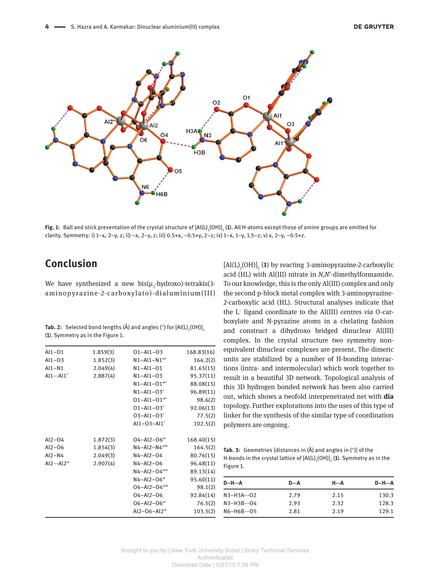

**Fig. 1:** Ball and stick presentation of the crystal structure of [Al(L)<sub>2</sub>(OH)]<sub>2</sub> (**1**). All H-atoms except those of amine groups are omitted for clarity. Symmetry: i) 1-x, 2-y, z; ii) -x, 2-y, z; iii) 0.5+x, -0.5+y, 2-z; iv) 1-x, 1-y, 1.5-z; v) x, 2-y, -0.5+z.

# **Conclusion**

We have synthesized a new  $\mathrm{bis}(\mu_{2}\text{-}hydroxo)\text{-}tetrakis(3$ aminopyrazine-2- carboxylato)- dialuminium(III)

| <b>Tab. 2:</b> Selected bond lengths ( $\AA$ ) and angles ( $\degree$ ) for [Al(L) <sub>2</sub> (OH)] <sub>2</sub> |
|--------------------------------------------------------------------------------------------------------------------|
| (1). Symmetry as in the Figure 1.                                                                                  |

| $Al1-O1$          | 1.859(3) | $01 - Al1 - 03$    | 168.83(16) |
|-------------------|----------|--------------------|------------|
| $Al1-03$          | 1.852(3) | $N1 - Al1 - N1'''$ | 164.2(2)   |
| $Al1-N1$          | 2.049(4) | $N1 - Al1 - O1$    | 81.65(15)  |
| $Al1 \cdots Al1'$ | 2.887(4) | $N1 - Al1 - O3$    | 95.37(11)  |
|                   |          | $N1 - Al1 - O1'''$ | 88.08(15)  |
|                   |          | $N1 - Al1 - O3'$   | 96.89(11)  |
|                   |          | $01 - Al1 - 01'''$ | 98.6(2)    |
|                   |          | $01 - Al1 - 03'$   | 92.06(13)  |
|                   |          | 03-Al1-03'         | 77.5(2)    |
|                   |          | Al1-03-Al1'        | 102.5(2)   |
| $Al2-O4$          | 1.872(3) | 04-Al2-06"         | 168.40(15) |
| $Al2-06$          | 1.854(3) | N4-Al2-N4""        | 164.5(2)   |
| $Al2-N4$          | 2.049(3) | N4-Al2-04          | 80.76(15)  |
| Al2Al2"           | 2.907(4) | $N4 - Al2 - O6$    | 96.48(11)  |
|                   |          | N4-Al2-04""        | 89.13(14)  |
|                   |          | N4-Al2-06"         | 95.60(11)  |
|                   |          | 04-Al2-04""        | 98.1(2)    |
|                   |          | 04-Al2-06          | 92.84(14)  |
|                   |          | $06 - Al2 - 06''$  | 76.5(2)    |
|                   |          | Al2-06-Al2"        | 103.5(2)   |

 $\left[\textrm{Al(L)}_{\text{2}}\textrm{(OH)}\right]_{\text{2}}$  (1) by reacting 3-aminopyrazine-2-carboxylic acid (HL) with Al(III) nitrate in *N,N*′ -dimethylformamide. To our knowledge, this is the only Al(III) complex and only the second p-block metal complex with 3-aminopyrazine-2-carboxylic acid (HL). Structural analyses indicate that the L<sup>-</sup> ligand coordinate to the Al(III) centres *via* O-carboxylate and N-pyrazine atoms in a chelating fashion and construct a dihydroxo bridged dinuclear Al(III) complex. In the crystal structure two symmetry nonequivalent dinuclear complexes are present. The dimeric units are stabilized by a number of H-bonding interactions (intra- and intermolecular) which work together to result in a beautiful 3D network. Topological analysis of this 3D hydrogen bonded network has been also carried out, which shows a twofold interpenetrated net with **dia** topology. Further explorations into the uses of this type of linker for the synthesis of the similar type of coordination polymers are ongoing.

**Tab. 3:** Geometries [distances in (Å) and angles in (°)] of the H-bonds in the crystal lattice of  $\text{[Al(L)}_2\text{(OH)}\text{]}_2$  (1). Symmetry as in the Figure 1.

| <b>D-H--A</b>        | D…A  | Н…А  | <b>D-H---A</b> |
|----------------------|------|------|----------------|
| $N3 - H3A \cdots 02$ | 2.79 | 2.15 | 130.3          |
| $N3 - H3B \cdots 04$ | 2.93 | 2.32 | 128.3          |
| $N6 - H6B \cdots 05$ | 2.81 | 2.19 | 129.1          |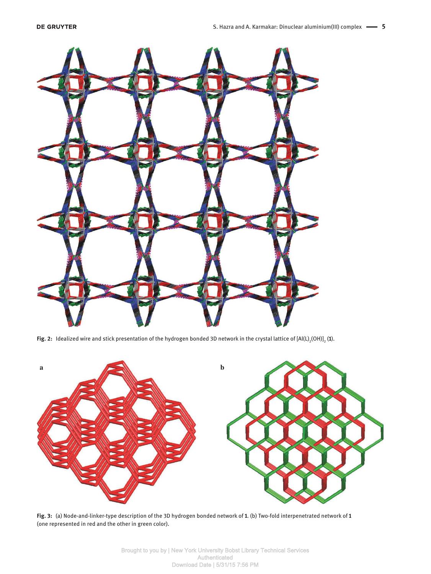

**Fig. 2:** Idealized wire and stick presentation of the hydrogen bonded 3D network in the crystal lattice of  $[Al(L)_2(OH)]_2$  (**1**).



 **Fig. 3:**  (a) Node-and-linker-type description of the 3D hydrogen bonded network of **1** . (b) Two-fold interpenetrated network of **1** (one represented in red and the other in green color).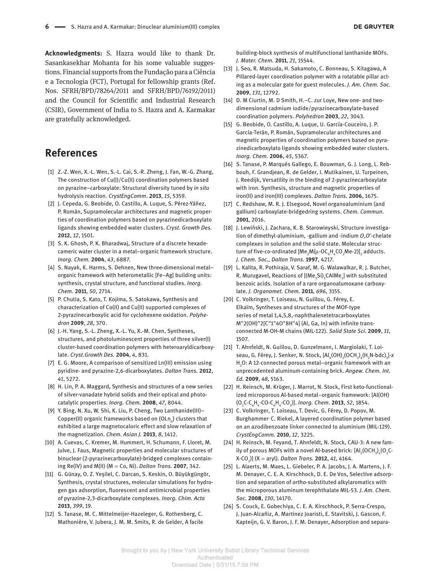**Acknowledgments:** S. Hazra would like to thank Dr. Sasankasekhar Mohanta for his some valuable suggestions. Financial supports from the Fundação para a Ciência e a Tecnologia (FCT), Portugal for fellowship grants (Ref. Nos. SFRH/BPD/78264/2011 and SFRH/BPD/76192/2011) and the Council for Scientific and Industrial Research (CSIR), Government of India to S. Hazra and A. Karmakar are gratefully acknowledged.

## **References**

- [1] Z.-Z. Wen, X.-L. Wen, S.-L. Cai, S.-R. Zheng, J. Fan, W.-G. Zhang, The construction of Cu(I)/Cu(II) coordination polymers based on pyrazine – carboxylate: Structural diversity tuned by *in situ* hydrolysis reaction. *CrystEngComm* . **2013** , *15* , 5359.
- [2] J. Cepeda, G. Beobide, O. Castillo, A. Luque, S. Pérez-Yáñez, P. Román, Supramolecular architectures and magnetic properties of coordination polymers based on pyrazinedicarboxylato ligands showing embedded water clusters. *Cryst. Growth Des.* **2012** , *12* , 1501.
- [3] S. K. Ghosh, P. K. Bharadwaj, Structure of a discrete hexadecameric water cluster in a metal – organic framework structure. *Inorg. Chem.* **2004** , *43* , 6887.
- [4] S. Nayak, K. Harms, S. Dehnen, New three-dimensional metal organic framework with heterometallic [Fe – Ag] building units: synthesis, crystal structure, and functional studies. *Inorg. Chem.* **2011** , *50* , 2714.
- [5] P. Chutia, S. Kato, T. Kojima, S. Satokawa, Synthesis and characterization of Co(II) and Cu(II) supported complexes of 2-pyrazinecarboxylic acid for cyclohexene oxidation. *Polyhedron* **2009** , *28* , 370.
- [6] J.-H. Yang, S.-L. Zheng, X.-L. Yu, X.-M. Chen, Syntheses, structures, and photoluminescent properties of three silver(I) cluster-based coordination polymers with heteroaryldicarboxylate. *Cryst.Growth Des.* **2004** , *4* , 831.
- [7] E. G. Moore, A comparison of sensitized Ln(III) emission using pyridine- and pyrazine-2,6-dicarboxylates. *Dalton Trans.* **2012** , *41* , 5272.
- [8] H. Lin, P. A. Maggard, Synthesis and structures of a new series of silver-vanadate hybrid solids and their optical and photocatalytic properties. *Inorg. Chem.* **2008** , *47* , 8044.
- [9] Y. Bing, N. Xu, W. Shi, K. Liu, P. Cheng, Two Lanthanide(III) Copper(II) organic frameworks based on  $\{OLn_{\delta}\}$  clusters that exhibited a large magnetocaloric effect and slow relaxation of the magnetization. *Chem. Asian J.* **2013** , *8* , 1412.
- [10] A. Cuevas, C. Kremer, M. Hummert, H. Schumann, F. Lloret, M. Julve, J. Faus, Magnetic properties and molecular structures of binuclear (2-pyrazinecarboxylate)-bridged complexes containing Re(IV) and M(II) (M   =  Co, Ni). *Dalton Trans.* **2007** , 342.
- [11] G. Günay, O. Z. Yeşilel, C. Darcan, S. Keskin, O. Büyükgüngör, Synthesis, crystal structures, molecular simulations for hydrogen gas adsorption, fluorescent and antimicrobial properties of pyrazine-2,3-dicarboxylate complexes. *Inorg. Chim. Acta* **2013** , *399* , 19.
- [12] S. Tanase, M. C. Mittelmeijer-Hazeleger, G. Rothenberg, C. Mathonière, V. Jubera, J. M. M. Smits, R. de Gelder, A facile

building-block synthesis of multifunctional lanthanide MOFs. *J. Mater. Chem.* **2011** , *21* , 15544.

- [13] J. Seo, R. Matsuda, H. Sakamoto, C. Bonneau, S. Kitagawa, A Pillared-layer coordination polymer with a rotatable pillar acting as a molecular gate for guest molecules. *J. Am. Chem. Soc.* **2009** , *131* , 12792.
- [14] D. M Ciurtin, M. D Smith, H.-C. zur Loye, New one- and twodimensional cadmium iodide/pyrazinecarboxylate-based coordination polymers. *Polyhedron* **2003** , *22* , 3043.
- [15] G. Beobide, O. Castillo, A. Luque, U. García-Couceiro, J. P. García-Terán, P. Román, Supramolecular architectures and magnetic properties of coordination polymers based on pyrazinedicarboxylato ligands showing embedded water clusters. *Inorg. Chem.* **2006** , *45* , 5367.
- [16] S. Tanase, P. Marqués Gallego, E. Bouwman, G. J. Long, L. Rebbouh, F. Grandjean, R. de Gelder, I. Mutikainen, U. Turpeinen, J. Reedijk, Versatility in the binding of 2-pyrazinecarboxylate with iron. Synthesis, structure and magnetic properties of iron(II) and iron(III) complexes. *Dalton Trans.* **2006** , 1675.
- [17] C. Redshaw, M. R. J. Elsegood, Novel organoaluminium (and gallium) carboxylate-bridgedring systems. *Chem. Commun.* **2001** , 2016.
- [18] J. Lewiński, J. Zachara, K. B. Starowieyski, Structure investigation of dimethyl-aluminium, -gallium and -indium *O*,O'-chelate complexes in solution and the solid state. Molecular structure of five-co-ordinated [Me<sub>2</sub>M( $\mu$ -OC<sub>6</sub>H<sub>4</sub>CO<sub>2</sub>Me-2)]<sub>2</sub> adducts. *J. Chem. Soc., Dalton Trans.* **1997** , 4217.
- [19] L. Kalita, R. Pothiraja, V. Saraf, M. G. Walawalkar, R. J. Butcher, R. Murugavel, Reactions of  $[(Me_{3}Si)_{3}CAIME_{2}]$  with substituted benzoic acids. Isolation of a rare organoalumoxane carboxylate. *J. Organomet. Chem.* **2011** , *696* , 3155.
- [20] C. Volkringer, T. Loiseau, N. Guillou, G. Férey, E. Elka im, Syntheses and structures of the MOF-type series of metal 1,4,5,8,-naphthalenetetracarboxylates M"2(OH)"2[C"1"4O"8H"4] (Al, Ga, In) with infinite transconnected M-OH-M chains (MIL-122). *Solid State Sci.* **2009** , *11* , 1507.
- [21] T. Ahnfeldt, N. Guillou, D. Gunzelmann, I. Margiolaki, T. Loiseau, G. Férey, J. Senker, N. Stock, [Al<sub>4</sub>(OH)<sub>2</sub>(OCH<sub>3</sub>)<sub>4</sub>(H<sub>2</sub>N-bdc)<sub>3</sub>]·x H<sub>2</sub>O: A 12-connected porous metal–organic framework with an unprecedented aluminum-containing brick. *Angew. Chem. Int. Ed.* **2009** , *48* , 5163.
- [22] H. Reinsch, M. Krüger, J. Marrot, N. Stock, First keto-functionalized microporous Al-based metal-organic framework: [Al(OH) (O <sup>2</sup> C-C <sup>6</sup> H 4 -CO-C <sup>6</sup> H 4 -CO <sup>2</sup> )]. *Inorg. Chem.* **2013** , *52* , 1854.
- [23] C. Volkringer, T. Loiseau, T. Devic, G. Férey, D. Popov, M. Burghammer<sup>,</sup> C. Riekel, A layered coordination polymer based on an azodibenzoate linker connected to aluminium (MIL-129). *CrystEngComm.* **2010** , *12* , 3225.
- [24] H. Reinsch, M. Feyand, T. Ahnfeldt, N. Stock, CAU-3: A new family of porous MOFs with a novel Al-based brick:  $\text{[Al}_{2}\text{(OCH}_{3})_{4}\text{(O}_{2}\text{C}$ X-CO <sup>2</sup> )] (X   =  aryl). *Dalton Trans.* **2012** , *41* , 4164.
- [25] L. Alaerts, M. Maes, L. Giebeler, P. A. Jacobs, J. A. Martens, J. F. M. Denayer, C. E. A. Kirschhock, D. E. De Vos, Selective adsorption and separation of *ortho* -substituted alkylaromatics with the microporous aluminum terephthalate MIL-53. *J. Am. Chem. Soc.* **2008** , *130* , 14170.
- [26] S. Couck, E. Gobechiya, C. E. A. Kirschhock, P. Serra-Crespo, J. Juan-Alcañiz, A. Martinez Joaristi, E. Stavitski, J. Gascon, F. Kapteijn, G. V. Baron, J. F. M. Denayer, Adsorption and separa-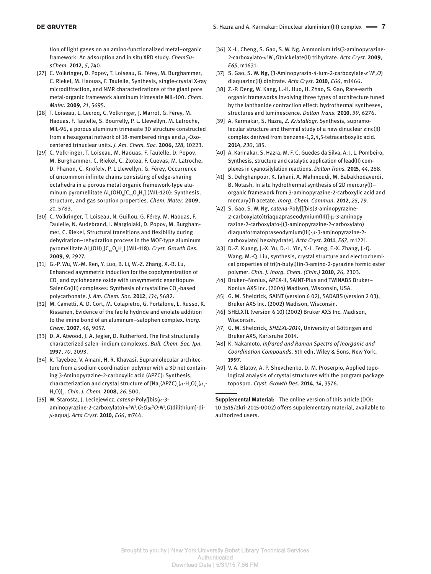tion of light gases on an amino-functionalized metal-organic framework: An adsorption and in situ XRD study. *ChemSusChem.* **2012** , *5* , 740.

- [27] C. Volkringer, D. Popov, T. Loiseau, G. Férey, M. Burghammer, C. Riekel, M. Haouas, F. Taulelle, Synthesis, single-crystal X-ray microdiffraction, and NMR characterizations of the giant pore metal-organic framework aluminum trimesate MIL-100. *Chem. Mater.* **2009** , *21* , 5695.
- [28] T. Loiseau, L. Lecrog, C. Volkringer, J. Marrot, G. Férey, M. Haouas, F. Taulelle, S. Bourrelly, P. L. Llewellyn, M. Latroche, MIL-96, a porous aluminum trimesate 3D structure constructed from a hexagonal network of 18-membered rings and  $\mu_{_3}$ -Oxocentered trinuclear units. *J. Am. Chem. Soc.* **2006** , *128* , 10223.
- [29] C. Volkringer, T. Loiseau, M. Haouas, F. Taulelle, D. Popov, M. Burghammer, C. Riekel, C. Zlotea, F. Cuevas, M. Latroche, D. Phanon, C. Knöfelv, P. L Llewellyn, G. Férey, Occurrence of uncommon infinite chains consisting of edge-sharing octahedra in a porous metal organic framework-type aluminum pyromellitate  $\mathsf{Al}_4(\mathsf{OH})_8[\mathsf{C}_{10}\mathsf{O}_8\mathsf{H}_2]$  (MIL-120): Synthesis, structure, and gas sorption properties. *Chem. Mater.* **2009** , *21* , 5783.
- [30] C. Volkringer, T. Loiseau, N. Guillou, G. Férey, M. Haouas, F. Taulelle, N. Audebrand, I. Margiolaki, D. Popov, M. Burghammer, C. Riekel, Structural transitions and flexibility during dehydration – rehydration process in the MOF-type aluminum pyromellitate Al<sub>2</sub>(OH)<sub>2</sub>[C<sub>10</sub>O<sub>8</sub>H<sub>2</sub>] (MIL-118). *Cryst. Growth Des*. **2009** , *9* , 2927.
- [31] G.-P. Wu, W.-M. Ren, Y. Luo, B. Li, W.-Z. Zhang, X.-B. Lu, Enhanced asymmetric induction for the copolymerization of  $\mathrm{CO}_2$  and cyclohexene oxide with unsymmetric enantiopure SalenCo(III) complexes: Synthesis of crystalline CO<sub>2</sub>-based polycarbonate. *J. Am. Chem. Soc.* **2012** , *134* , 5682.
- [32] M. Cametti, A. D. Cort, M. Colapietro, G. Portalone, L. Russo, K. Rissanen, Evidence of the facile hydride and enolate addition to the imine bond of an aluminum – salophen complex. *Inorg. Chem.* **2007** , *46* , 9057.
- [33] D. A. Atwood, J. A. Jegier, D. Rutherford, The first structurally characterized salen – indium complexes. *Bull. Chem. Soc. Jpn.* **1997** , *70* , 2093.
- [34] R. Tayebee, V. Amani, H. R. Khavasi, Supramolecular architecture from a sodium coordination polymer with a 3D net containing 3-Aminopyrazine-2-carboxylic acid (APZC): Synthesis, characterization and crystal structure of [Na<sub>2</sub>(APZC)<sub>2</sub>( $\mu$ -H<sub>2</sub>O)<sub>2</sub>( $\mu$ <sub>3</sub>-H 2 O)] *n* . *Chin. J. Chem.* **2008** , *26* , 500.
- [35] W. Starosta, J. Leciejewicz, *catena-Poly[[bis(u-3*aminopyrazine-2-carboxylato)-κ<sup>3</sup>N<sup>1</sup>,O:O;κ<sup>3</sup>O:N<sup>1</sup>,O)dilithium]-diµ -aqua]. *Acta Cryst.* **2010** , *E66* , m744.
- [36] X.-L. Cheng, S. Gao, S. W. Ng, Ammonium tris(3-aminopyrazine-2-carboxylato-κ<sup>2</sup>N<sup>1</sup>, O)nickelate(II) trihydrate. Acta Cryst. 2009, *E65* , m1631.
- [37] S. Gao, S. W. Ng, (3-Aminopyrazin-4-ium-2-carboxylate-κ<sup>2</sup>Ν<sup>1</sup>,O) diaquazinc(II) dinitrate. *Acta Cryst.* **2010** , *E66* , m1466.
- [38] Z.-P. Deng, W. Kang, L.-H. Huo, H. Zhao, S. Gao, Rare-earth organic frameworks involving three types of architecture tuned by the lanthanide contraction effect: hydrothermal syntheses, structures and luminescence. *Dalton Trans.* **2010** , *39* , 6276.
- [39] A. Karmakar, S. Hazra, *Z. Kristallogr.* Synthesis, supramolecular structure and thermal study of a new dinuclear zinc(II) complex derived from benzene-1,2,4,5-tetracarboxylic acid. **2014** , *230*, 185.
- [40] A. Karmakar, S. Hazra, M. F. C. Guedes da Silva, A. J. L. Pombeiro, Synthesis, structure and catalytic application of lead(II) complexes in cyanosilylation reactions. *Dalton Trans.* **2015** , *44* , 268.
- [41] S. Dehghanpour, K. Jahani, A. Mahmoudi, M. Babakhodaverdi, B. Notash, In situ hydrothermal synthesis of 2D mercury(I) – organic framework from 3-aminopyrazine-2-carboxylic acid and mercury(II) acetate. *Inorg. Chem. Commun.* **2012** , *25* , 79.
- [42] S. Gao, S. W. Ng, *catena* -Poly[[[bis(3-aminopyrazine-2-carboxylato)triaquapraseodymium(III)]- µ -3-aminopy razine-2-carboxylato-[(3-aminopyrazine-2-carboxylato) diaquaformatopraseodymium(III)-µ-3-aminopyrazine-2carboxylato] hexahydrate]. *Acta Cryst.* **2011** , *E67* , m1221.
- [43] D.-Z. Kuang, J.-X. Yu, D.-L. Yin, Y.-L. Feng, F.-X. Zhang, J.-Q. Wang, M.-Q. Liu, synthesis, crystal structure and electrochemical properties of tri(n-butyl)tin-3-amino-2-pyrazine formic ester polymer. *Chin. J. Inorg. Chem. (Chin.)* **2010** , *26* , 2303.
- [44] Bruker-Nonius, APEX-II, SAINT-Plus and TWINABS Bruker-Nonius AXS Inc. (2004) Madison, Wisconsin, USA.
- [45] G. M. Sheldrick, SAINT (version 6 02), SADABS (version 2 03), Bruker AXS lnc. (2002) Madison, Wisconsin.
- [46] SHELXTL (version 6 10) (2002) Bruker AXS Inc. Madison, Wisconsin.
- [47] G. M. Sheldrick, SHELXL-2014, University of Göttingen and Bruker AXS, Karlsruhe 2014.
- [48] K. Nakamoto, *Infrared and Raman Spectra of Inorganic and Coordination Compounds,* 5th edn, Wiley & Sons, New York, **1997** .
- [49] V. A. Blatov, A. P. Shevchenko, D. M. Proserpio, Applied topological analysis of crystal structures with the program package topospro. *Cryst. Growth Des.* **2014** , *14* , 3576.

**Supplemental Material:** The online version of this article (DOI: 10.1515/zkri-2015-0002) offers supplementary material, available to authorized users.